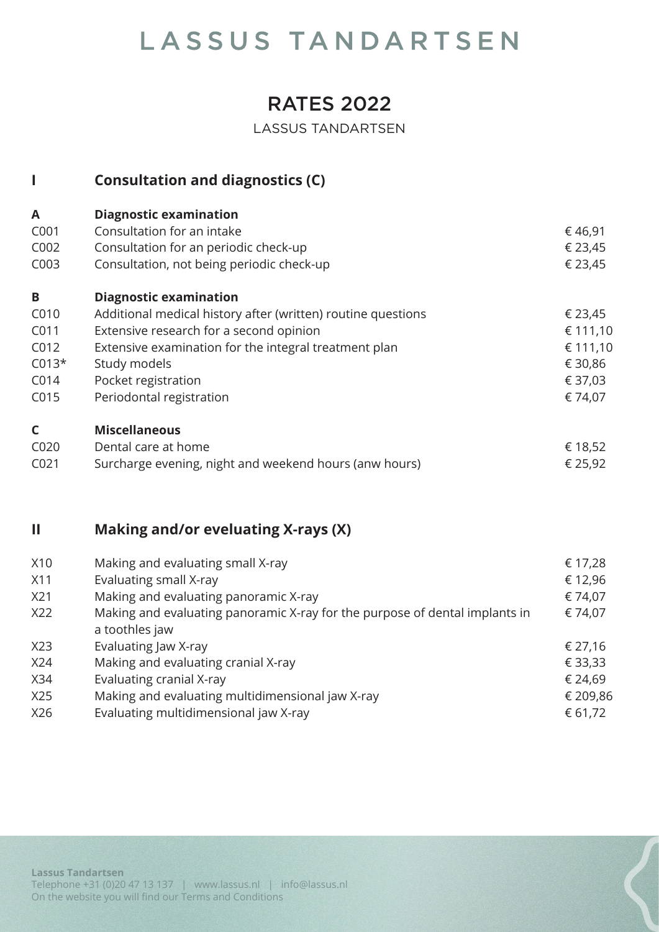### RATES 2022

LASSUS TANDARTSEN

|                  | <b>Consultation and diagnostics (C)</b>                      |          |
|------------------|--------------------------------------------------------------|----------|
| A                | <b>Diagnostic examination</b>                                |          |
| C001             | Consultation for an intake                                   | € 46,91  |
| C002             | Consultation for an periodic check-up                        | € 23,45  |
| C003             | Consultation, not being periodic check-up                    | € 23,45  |
| B                | <b>Diagnostic examination</b>                                |          |
| C010             | Additional medical history after (written) routine questions | € 23,45  |
| C011             | Extensive research for a second opinion                      | € 111,10 |
| C012             | Extensive examination for the integral treatment plan        | € 111,10 |
| $C013*$          | Study models                                                 | € 30,86  |
| C014             | Pocket registration                                          | € 37,03  |
| C015             | Periodontal registration                                     | € 74,07  |
| $\mathsf{C}$     | <b>Miscellaneous</b>                                         |          |
| C020             | Dental care at home                                          | € 18,52  |
| C <sub>021</sub> | Surcharge evening, night and weekend hours (anw hours)       | € 25,92  |

#### **II Making and/or eveluating X-rays (X)**

|                                                                             | € 17,28                           |
|-----------------------------------------------------------------------------|-----------------------------------|
| Evaluating small X-ray                                                      | € 12,96                           |
| Making and evaluating panoramic X-ray                                       | € 74,07                           |
| Making and evaluating panoramic X-ray for the purpose of dental implants in | € 74,07                           |
| a toothles jaw                                                              |                                   |
| Evaluating Jaw X-ray                                                        | € 27,16                           |
| Making and evaluating cranial X-ray                                         | € 33,33                           |
| Evaluating cranial X-ray                                                    | € 24,69                           |
| Making and evaluating multidimensional jaw X-ray                            | € 209,86                          |
| Evaluating multidimensional jaw X-ray                                       | € 61,72                           |
|                                                                             | Making and evaluating small X-ray |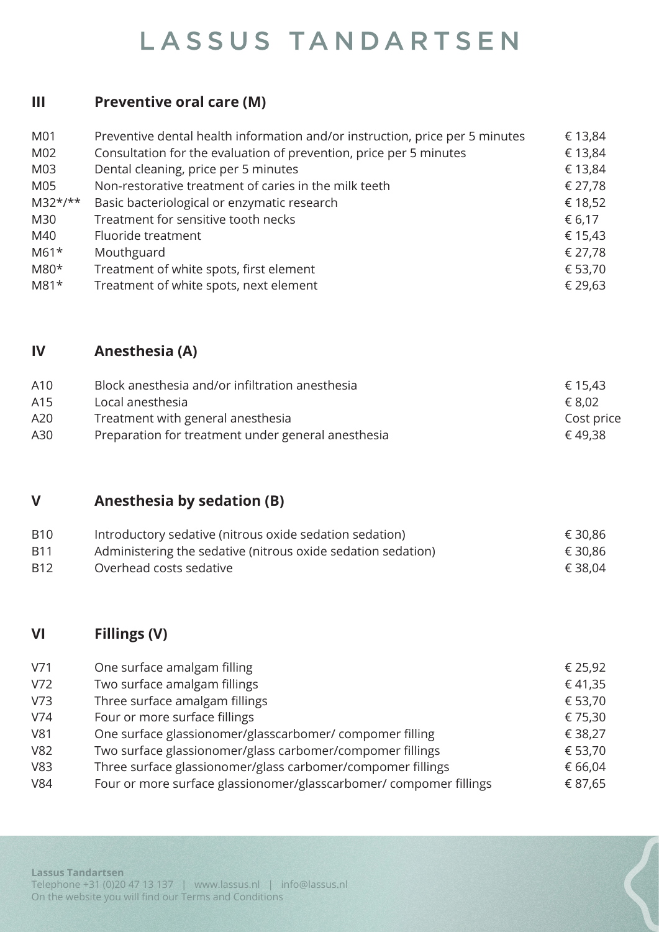#### **III Preventive oral care (M)**

| M01       | Preventive dental health information and/or instruction, price per 5 minutes | € 13,84 |
|-----------|------------------------------------------------------------------------------|---------|
| M02       | Consultation for the evaluation of prevention, price per 5 minutes           | € 13,84 |
| M03       | Dental cleaning, price per 5 minutes                                         | € 13,84 |
| M05       | Non-restorative treatment of caries in the milk teeth                        | € 27,78 |
| $M32*/**$ | Basic bacteriological or enzymatic research                                  | € 18,52 |
| M30       | Treatment for sensitive tooth necks                                          | € 6,17  |
| M40       | Fluoride treatment                                                           | € 15,43 |
| $M61*$    | Mouthguard                                                                   | € 27,78 |
| M80*      | Treatment of white spots, first element                                      | € 53,70 |
| $M81*$    | Treatment of white spots, next element                                       | € 29,63 |

#### **IV Anesthesia (A)**

| A10 | Block anesthesia and/or infiltration anesthesia    | € 15,43    |
|-----|----------------------------------------------------|------------|
| A15 | Local anesthesia                                   | € 8,02     |
| A20 | Treatment with general anesthesia                  | Cost price |
| A30 | Preparation for treatment under general anesthesia | € 49.38    |

#### **V Anesthesia by sedation (B)**

| <b>B10</b> | Introductory sedative (nitrous oxide sedation sedation)      | € 30,86 |
|------------|--------------------------------------------------------------|---------|
| <b>B11</b> | Administering the sedative (nitrous oxide sedation sedation) | € 30,86 |
| B12        | Overhead costs sedative                                      | € 38,04 |

#### **VI Fillings (V)**

| V71             | One surface amalgam filling                                        | € 25,92 |
|-----------------|--------------------------------------------------------------------|---------|
| V72             | Two surface amalgam fillings                                       | € 41,35 |
| V <sub>73</sub> | Three surface amalgam fillings                                     | € 53,70 |
| V74             | Four or more surface fillings                                      | € 75,30 |
| V81             | One surface glassionomer/glasscarbomer/compomer filling            | € 38,27 |
| <b>V82</b>      | Two surface glassionomer/glass carbomer/compomer fillings          | € 53,70 |
| V83             | Three surface glassionomer/glass carbomer/compomer fillings        | € 66,04 |
| <b>V84</b>      | Four or more surface glassionomer/glasscarbomer/ compomer fillings | € 87,65 |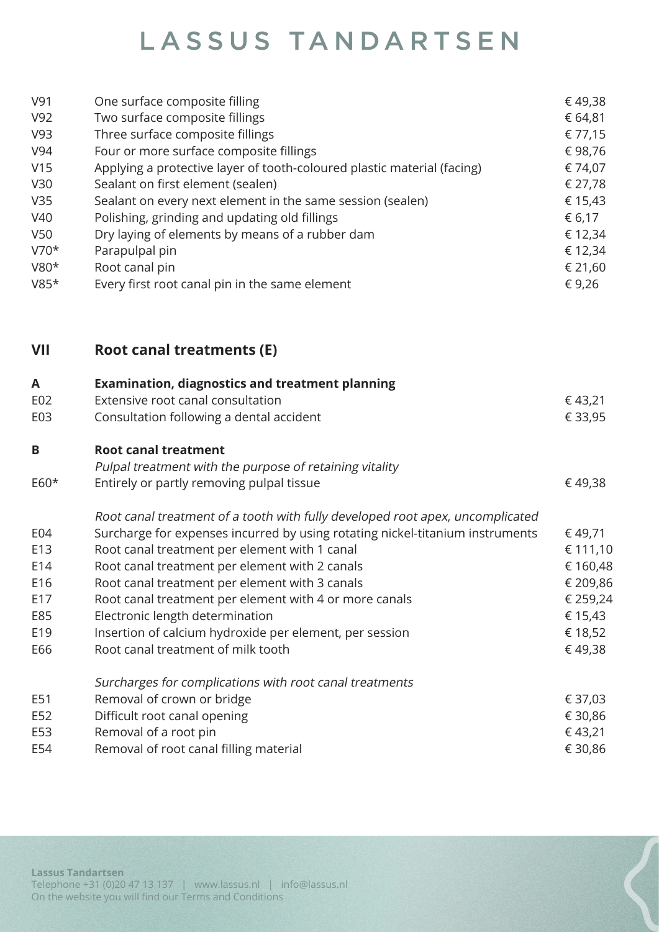| V91<br>V92<br>V93<br>V94<br>V15<br>V30<br>V35<br>V40<br>V50<br>$V70*$<br>V80*<br>$V85*$ | One surface composite filling<br>Two surface composite fillings<br>Three surface composite fillings<br>Four or more surface composite fillings<br>Applying a protective layer of tooth-coloured plastic material (facing)<br>Sealant on first element (sealen)<br>Sealant on every next element in the same session (sealen)<br>Polishing, grinding and updating old fillings<br>Dry laying of elements by means of a rubber dam<br>Parapulpal pin<br>Root canal pin<br>Every first root canal pin in the same element | € 49,38<br>€ 64,81<br>€ 77,15<br>€98,76<br>€ 74,07<br>€ 27,78<br>€ 15,43<br>€ 6,17<br>€ 12,34<br>€ 12,34<br>€ 21,60<br>€ 9,26 |
|-----------------------------------------------------------------------------------------|------------------------------------------------------------------------------------------------------------------------------------------------------------------------------------------------------------------------------------------------------------------------------------------------------------------------------------------------------------------------------------------------------------------------------------------------------------------------------------------------------------------------|-------------------------------------------------------------------------------------------------------------------------------|
| VII                                                                                     | <b>Root canal treatments (E)</b>                                                                                                                                                                                                                                                                                                                                                                                                                                                                                       |                                                                                                                               |
| A<br>E02                                                                                | <b>Examination, diagnostics and treatment planning</b><br>Extensive root canal consultation                                                                                                                                                                                                                                                                                                                                                                                                                            | € 43,21                                                                                                                       |
| E03                                                                                     | Consultation following a dental accident                                                                                                                                                                                                                                                                                                                                                                                                                                                                               | € 33,95                                                                                                                       |
| B                                                                                       | <b>Root canal treatment</b>                                                                                                                                                                                                                                                                                                                                                                                                                                                                                            |                                                                                                                               |
|                                                                                         | Pulpal treatment with the purpose of retaining vitality                                                                                                                                                                                                                                                                                                                                                                                                                                                                |                                                                                                                               |
| E60*                                                                                    | Entirely or partly removing pulpal tissue                                                                                                                                                                                                                                                                                                                                                                                                                                                                              | € 49,38                                                                                                                       |
|                                                                                         | Root canal treatment of a tooth with fully developed root apex, uncomplicated                                                                                                                                                                                                                                                                                                                                                                                                                                          |                                                                                                                               |
| E04<br>E13                                                                              | Surcharge for expenses incurred by using rotating nickel-titanium instruments<br>Root canal treatment per element with 1 canal                                                                                                                                                                                                                                                                                                                                                                                         | € 49,71<br>€ 111,10                                                                                                           |
| E14                                                                                     | Root canal treatment per element with 2 canals                                                                                                                                                                                                                                                                                                                                                                                                                                                                         | € 160,48                                                                                                                      |
| E16                                                                                     | Root canal treatment per element with 3 canals                                                                                                                                                                                                                                                                                                                                                                                                                                                                         | € 209,86                                                                                                                      |
| E17                                                                                     | Root canal treatment per element with 4 or more canals                                                                                                                                                                                                                                                                                                                                                                                                                                                                 | € 259,24                                                                                                                      |
| E85                                                                                     | Electronic length determination                                                                                                                                                                                                                                                                                                                                                                                                                                                                                        | € 15,43                                                                                                                       |
| E19                                                                                     | Insertion of calcium hydroxide per element, per session                                                                                                                                                                                                                                                                                                                                                                                                                                                                | € 18,52                                                                                                                       |
| E66                                                                                     | Root canal treatment of milk tooth                                                                                                                                                                                                                                                                                                                                                                                                                                                                                     | € 49,38                                                                                                                       |
|                                                                                         | Surcharges for complications with root canal treatments                                                                                                                                                                                                                                                                                                                                                                                                                                                                |                                                                                                                               |
| E51                                                                                     | Removal of crown or bridge                                                                                                                                                                                                                                                                                                                                                                                                                                                                                             | € 37,03                                                                                                                       |

- E52 Difficult root canal opening **E** 30,86
- E53 Removal of a root pin  $\epsilon$  43,21
- E54 Removal of root canal filling material  $\epsilon$  30,86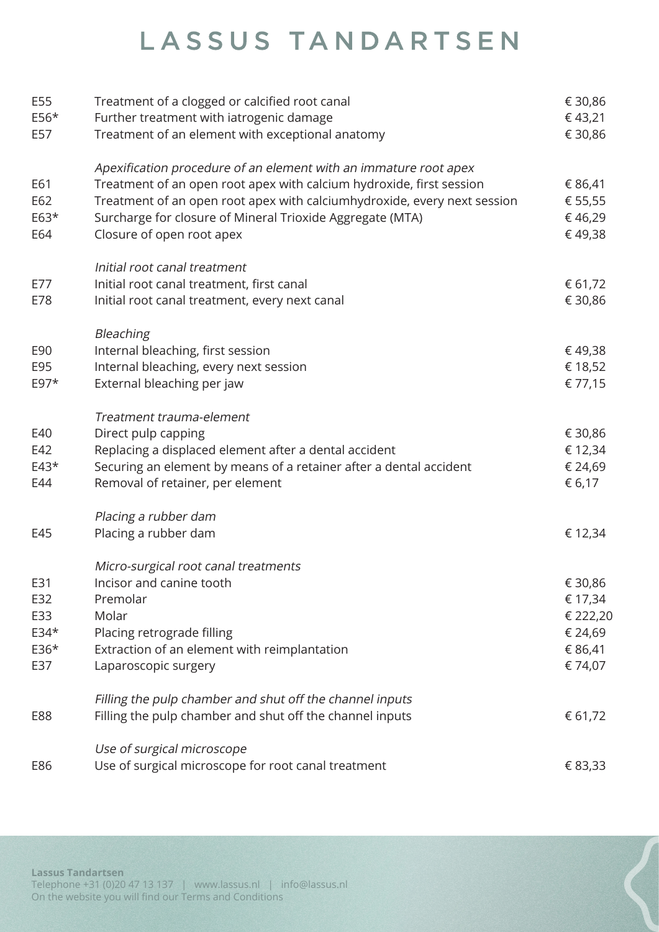| E55           | Treatment of a clogged or calcified root canal                                                                                                   | € 30,86            |
|---------------|--------------------------------------------------------------------------------------------------------------------------------------------------|--------------------|
| $E56*$<br>E57 | Further treatment with iatrogenic damage<br>Treatment of an element with exceptional anatomy                                                     | €43,21<br>€ 30,86  |
|               | Apexification procedure of an element with an immature root apex                                                                                 |                    |
| E61<br>E62    | Treatment of an open root apex with calcium hydroxide, first session<br>Treatment of an open root apex with calciumhydroxide, every next session | € 86,41<br>€ 55,55 |
| $E63*$        | Surcharge for closure of Mineral Trioxide Aggregate (MTA)                                                                                        | €46,29             |
| E64           | Closure of open root apex                                                                                                                        | €49,38             |
|               | Initial root canal treatment                                                                                                                     |                    |
| E77           | Initial root canal treatment, first canal                                                                                                        | € 61,72            |
| E78           | Initial root canal treatment, every next canal                                                                                                   | € 30,86            |
| E90           | Bleaching<br>Internal bleaching, first session                                                                                                   | €49,38             |
| E95           | Internal bleaching, every next session                                                                                                           | € 18,52            |
| $E97*$        | External bleaching per jaw                                                                                                                       | € 77,15            |
|               | Treatment trauma-element                                                                                                                         |                    |
| E40           | Direct pulp capping                                                                                                                              | € 30,86            |
| E42           | Replacing a displaced element after a dental accident                                                                                            | € 12,34            |
| $E43*$<br>E44 | Securing an element by means of a retainer after a dental accident<br>Removal of retainer, per element                                           | € 24,69<br>€ 6,17  |
|               | Placing a rubber dam                                                                                                                             |                    |
| E45           | Placing a rubber dam                                                                                                                             | € 12,34            |
|               | Micro-surgical root canal treatments                                                                                                             |                    |
| E31           | Incisor and canine tooth                                                                                                                         | € 30,86            |
| E32           | Premolar                                                                                                                                         | € 17,34            |
| E33           | Molar                                                                                                                                            | € 222,20           |
| $E34*$        | Placing retrograde filling                                                                                                                       | € 24,69            |
| $E36*$<br>E37 | Extraction of an element with reimplantation<br>Laparoscopic surgery                                                                             | € 86,41<br>€ 74,07 |
|               | Filling the pulp chamber and shut off the channel inputs                                                                                         |                    |
| E88           | Filling the pulp chamber and shut off the channel inputs                                                                                         | € 61,72            |
|               | Use of surgical microscope                                                                                                                       |                    |
| E86           | Use of surgical microscope for root canal treatment                                                                                              | € 83,33            |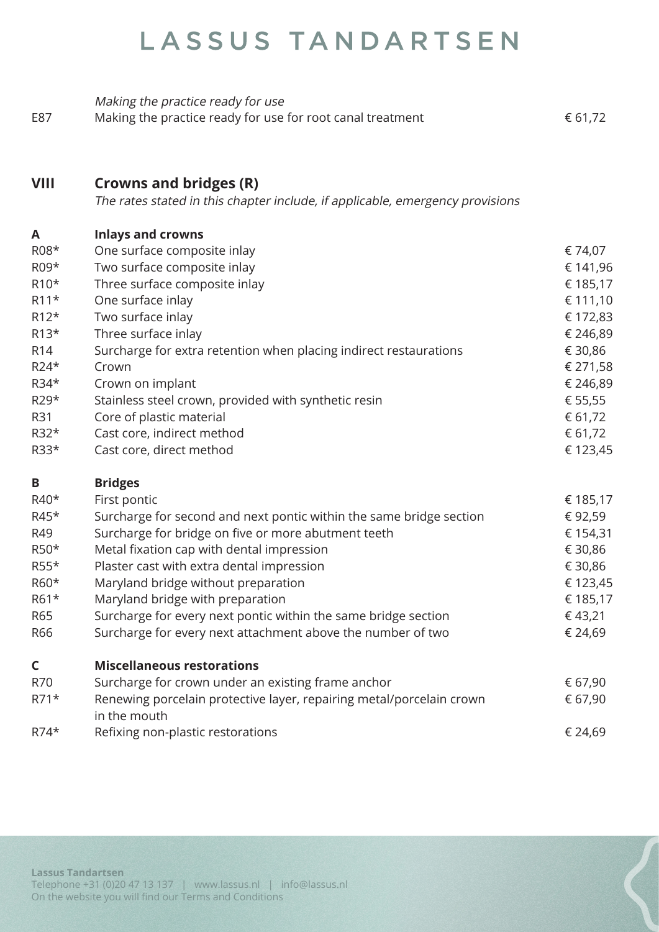|     | Making the practice ready for use                          |         |
|-----|------------------------------------------------------------|---------|
| E87 | Making the practice ready for use for root canal treatment | € 61,72 |

#### **VIII Crowns and bridges (R)**

The rates stated in this chapter include, if applicable, emergency provisions

#### **A Inlays and crowns** R08\* One surface composite inlay  $674,07$ R09\* Two surface composite inlay  $609*$  E 141,96 R10\* Three surface composite inlay  $6185,17$ R11\* One surface inlay  $\epsilon$  111,10 R12\* Two surface inlay  $\epsilon$  172,83 R13\* Three surface inlay  $\epsilon$  246,89 R14 Surcharge for extra retention when placing indirect restaurations  $\epsilon$  30,86 R24\* Crown  $\epsilon$  271,58 R34\* Crown on implant  $\epsilon$  246,89 R29\* Stainless steel crown, provided with synthetic resin  $\epsilon$  55,55 R31 Core of plastic material  $\epsilon$  61,72 R32\* Cast core, indirect method  $61,72$ R33\* Cast core, direct method  $\epsilon$  123.45 **B Bridges** R40\* First pontic  $\epsilon$  185,17 R45\* Surcharge for second and next pontic within the same bridge section  $\epsilon$  92,59 R49 Surcharge for bridge on five or more abutment teeth € 154,31 R50\* Metal fixation cap with dental impression  $\epsilon$  30,86 R55\* Plaster cast with extra dental impression  $6.30,86$ R60\* Maryland bridge without preparation  $60*$  E 123,45 R61\* Maryland bridge with preparation  $61*$  E 185,17 R65 Surcharge for every next pontic within the same bridge section  $\epsilon$  43,21 R66 Surcharge for every next attachment above the number of two  $\epsilon$  24,69 **C Miscellaneous restorations**

| $\sim$ | <u>MISCCHANCOUS I CSLOI ALIONS</u>                                   |         |
|--------|----------------------------------------------------------------------|---------|
| R70    | Surcharge for crown under an existing frame anchor                   | € 67,90 |
| $R71*$ | Renewing porcelain protective layer, repairing metal/porcelain crown | € 67,90 |
|        | in the mouth                                                         |         |
| $R74*$ | Refixing non-plastic restorations                                    | € 24,69 |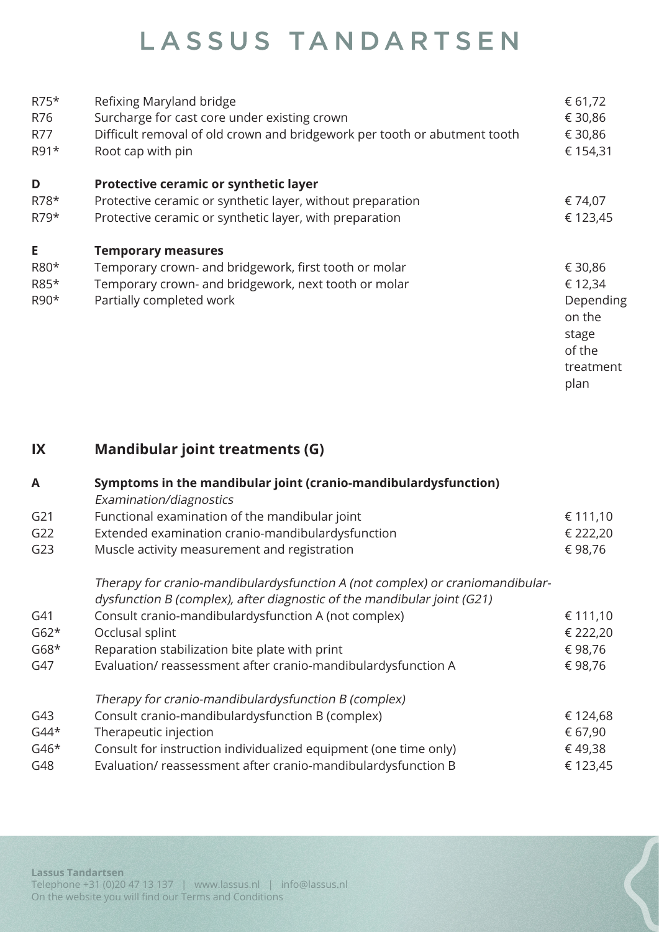| $R75*$<br>R76<br>R77<br>R91* | Refixing Maryland bridge<br>Surcharge for cast core under existing crown<br>Difficult removal of old crown and bridgework per tooth or abutment tooth<br>Root cap with pin | € 61,72<br>€ 30,86<br>€ 30,86<br>€ 154,31 |
|------------------------------|----------------------------------------------------------------------------------------------------------------------------------------------------------------------------|-------------------------------------------|
| D                            | Protective ceramic or synthetic layer                                                                                                                                      |                                           |
| R78*                         | Protective ceramic or synthetic layer, without preparation                                                                                                                 | € 74,07                                   |
| $R79*$                       | Protective ceramic or synthetic layer, with preparation                                                                                                                    | € 123,45                                  |
| E                            | <b>Temporary measures</b>                                                                                                                                                  |                                           |
| R80*                         | Temporary crown- and bridgework, first tooth or molar                                                                                                                      | € 30,86                                   |
| R85*                         | Temporary crown- and bridgework, next tooth or molar                                                                                                                       | € 12,34                                   |
| R90*                         | Partially completed work                                                                                                                                                   | Depending                                 |
|                              |                                                                                                                                                                            | on the                                    |
|                              |                                                                                                                                                                            | stage                                     |
|                              |                                                                                                                                                                            | of the                                    |
|                              |                                                                                                                                                                            | treatment                                 |
|                              |                                                                                                                                                                            | plan                                      |

#### **IX Mandibular joint treatments (G)**

| A      | Symptoms in the mandibular joint (cranio-mandibulardysfunction)<br>Examination/diagnostics |          |
|--------|--------------------------------------------------------------------------------------------|----------|
| G21    | Functional examination of the mandibular joint                                             | € 111,10 |
| G22    | Extended examination cranio-mandibulardysfunction                                          | € 222,20 |
| G23    | Muscle activity measurement and registration                                               | € 98,76  |
|        | Therapy for cranio-mandibulardysfunction A (not complex) or craniomandibular-              |          |
|        | dysfunction B (complex), after diagnostic of the mandibular joint (G21)                    |          |
| G41    | Consult cranio-mandibulardysfunction A (not complex)                                       | € 111,10 |
| $G62*$ | Occlusal splint                                                                            | € 222,20 |
| $G68*$ | Reparation stabilization bite plate with print                                             | € 98,76  |
| G47    | Evaluation/reassessment after cranio-mandibulardysfunction A                               | € 98,76  |
|        | Therapy for cranio-mandibulardysfunction B (complex)                                       |          |
| G43    | Consult cranio-mandibulardysfunction B (complex)                                           | € 124,68 |
| $G44*$ | Therapeutic injection                                                                      | € 67,90  |
| $G46*$ | Consult for instruction individualized equipment (one time only)                           | € 49,38  |
| G48    | Evaluation/reassessment after cranio-mandibulardysfunction B                               | € 123,45 |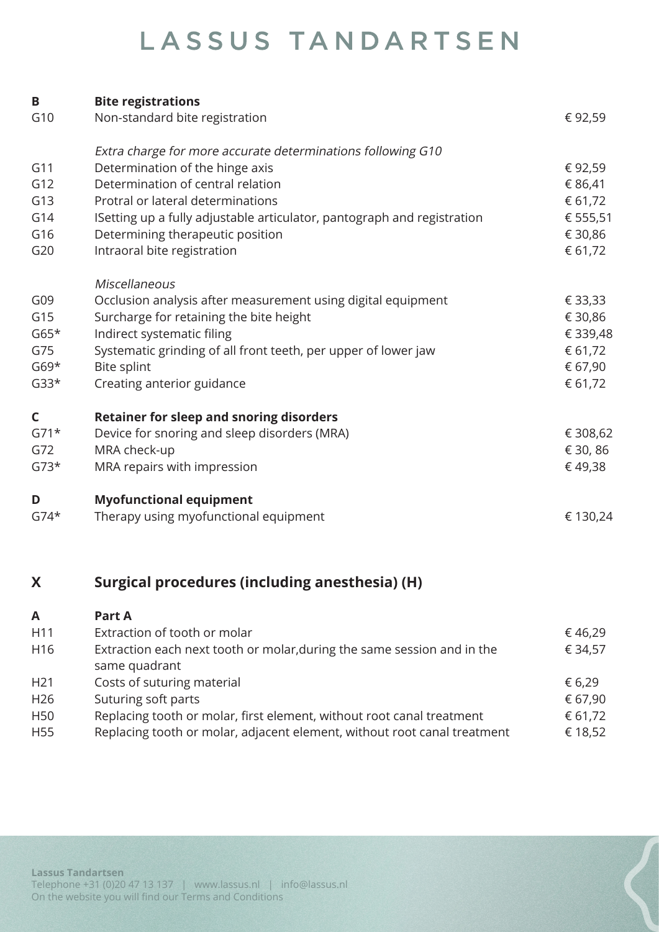| B           | <b>Bite registrations</b>                                               |          |
|-------------|-------------------------------------------------------------------------|----------|
| G10         | Non-standard bite registration                                          | €92,59   |
|             | Extra charge for more accurate determinations following G10             |          |
| G11         | Determination of the hinge axis                                         | € 92,59  |
| G12         | Determination of central relation                                       | € 86,41  |
| G13         | Protral or lateral determinations                                       | € 61,72  |
| G14         | ISetting up a fully adjustable articulator, pantograph and registration | € 555,51 |
| G16         | Determining therapeutic position                                        | € 30,86  |
| G20         | Intraoral bite registration                                             | € 61,72  |
|             | Miscellaneous                                                           |          |
| G09         | Occlusion analysis after measurement using digital equipment            | € 33,33  |
| G15         | Surcharge for retaining the bite height                                 | € 30,86  |
| $G65*$      | Indirect systematic filing                                              | € 339,48 |
| G75         | Systematic grinding of all front teeth, per upper of lower jaw          | € 61,72  |
| $G69*$      | Bite splint                                                             | € 67,90  |
| $G33*$      | Creating anterior guidance                                              | € 61,72  |
| $\mathsf C$ | <b>Retainer for sleep and snoring disorders</b>                         |          |
| $G71*$      | Device for snoring and sleep disorders (MRA)                            | € 308,62 |
| G72         | MRA check-up                                                            | € 30, 86 |
| $G73*$      | MRA repairs with impression                                             | € 49,38  |
| D           | <b>Myofunctional equipment</b>                                          |          |
| $G74*$      | Therapy using myofunctional equipment                                   | € 130,24 |
|             |                                                                         |          |

### **X Surgical procedures (including anesthesia) (H)**

| A               | Part A                                                                                   |         |
|-----------------|------------------------------------------------------------------------------------------|---------|
| H11             | Extraction of tooth or molar                                                             | €46,29  |
| H <sub>16</sub> | Extraction each next tooth or molar, during the same session and in the<br>same quadrant | € 34,57 |
| H <sub>21</sub> | Costs of suturing material                                                               | € 6,29  |
| H <sub>26</sub> | Suturing soft parts                                                                      | € 67,90 |
| H <sub>50</sub> | Replacing tooth or molar, first element, without root canal treatment                    | € 61,72 |
| H <sub>55</sub> | Replacing tooth or molar, adjacent element, without root canal treatment                 | € 18,52 |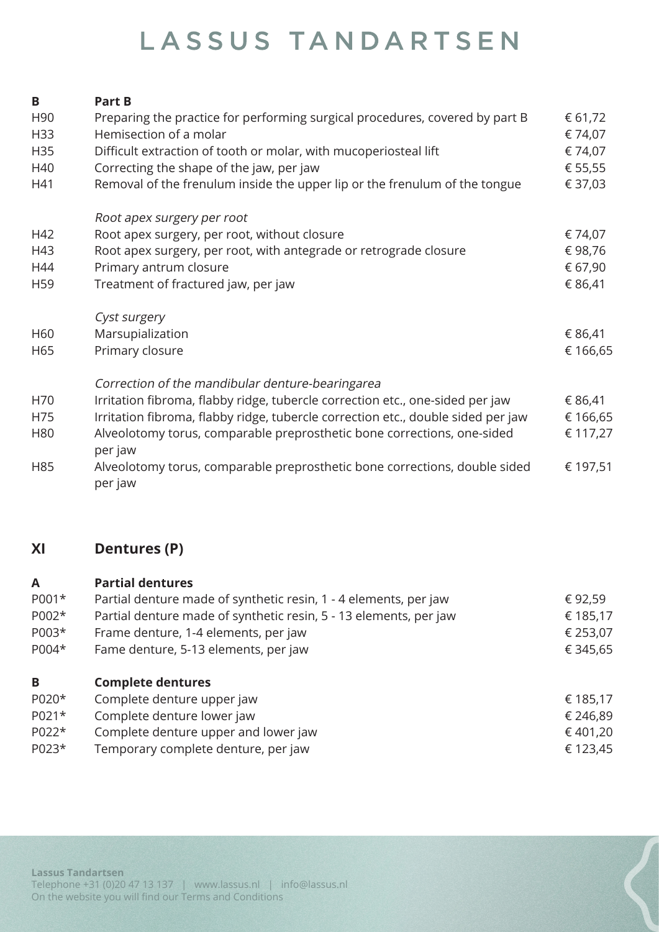| Β               | <b>Part B</b>                                                                         |          |
|-----------------|---------------------------------------------------------------------------------------|----------|
| H <sub>90</sub> | Preparing the practice for performing surgical procedures, covered by part B          | € 61,72  |
| H33             | Hemisection of a molar                                                                | € 74,07  |
| H35             | Difficult extraction of tooth or molar, with mucoperiosteal lift                      | € 74,07  |
| H40             | Correcting the shape of the jaw, per jaw                                              | € 55,55  |
| H41             | Removal of the frenulum inside the upper lip or the frenulum of the tongue            | € 37,03  |
|                 | Root apex surgery per root                                                            |          |
| H42             | Root apex surgery, per root, without closure                                          | € 74,07  |
| H43             | Root apex surgery, per root, with antegrade or retrograde closure                     | €98,76   |
| H44             | Primary antrum closure                                                                | € 67,90  |
| H <sub>59</sub> | Treatment of fractured jaw, per jaw                                                   | € 86,41  |
|                 | Cyst surgery                                                                          |          |
| H60             | Marsupialization                                                                      | € 86,41  |
| H65             | Primary closure                                                                       | € 166,65 |
|                 | Correction of the mandibular denture-bearingarea                                      |          |
| H70             | Irritation fibroma, flabby ridge, tubercle correction etc., one-sided per jaw         | € 86,41  |
| H75             | Irritation fibroma, flabby ridge, tubercle correction etc., double sided per jaw      | € 166,65 |
| H80             | Alveolotomy torus, comparable preprosthetic bone corrections, one-sided<br>per jaw    | € 117,27 |
| H85             | Alveolotomy torus, comparable preprosthetic bone corrections, double sided<br>per jaw | € 197,51 |

#### **XI Dentures (P)**

| A<br>P001*<br>P002*<br>P003*<br>P004* | <b>Partial dentures</b><br>Partial denture made of synthetic resin, 1 - 4 elements, per jaw<br>Partial denture made of synthetic resin, 5 - 13 elements, per jaw<br>Frame denture, 1-4 elements, per jaw<br>Fame denture, 5-13 elements, per jaw | € 92,59<br>€ 185,17<br>€ 253,07<br>€ 345,65  |
|---------------------------------------|--------------------------------------------------------------------------------------------------------------------------------------------------------------------------------------------------------------------------------------------------|----------------------------------------------|
| B<br>P020*<br>P021*<br>P022*<br>P023* | <b>Complete dentures</b><br>Complete denture upper jaw<br>Complete denture lower jaw<br>Complete denture upper and lower jaw<br>Temporary complete denture, per jaw                                                                              | € 185,17<br>€ 246,89<br>€ 401,20<br>€ 123,45 |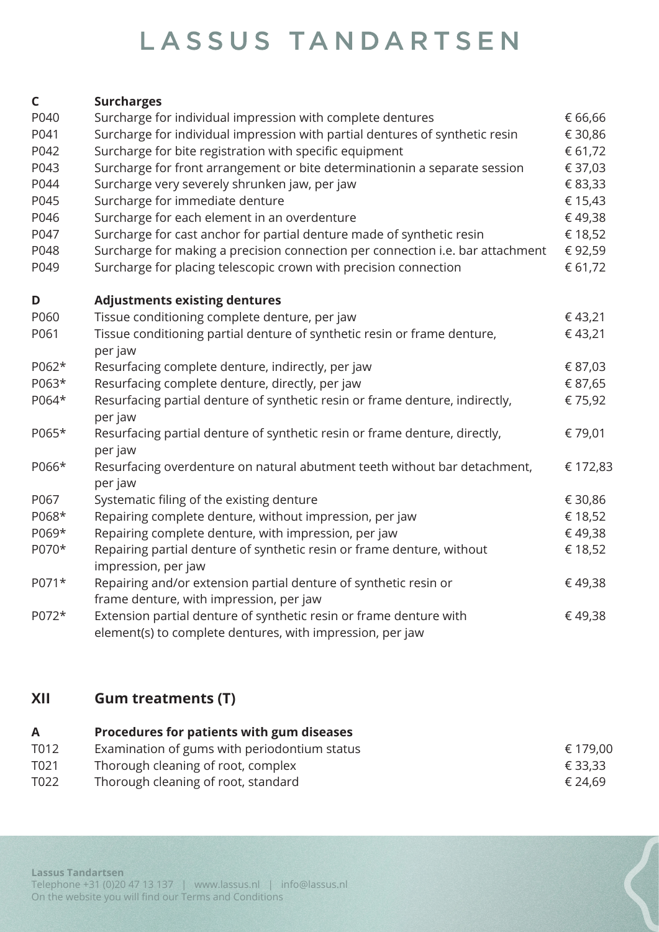#### **C Surcharges** P040 Surcharge for individual impression with complete dentures  $\epsilon$  66.66 P041 Surcharge for individual impression with partial dentures of synthetic resin  $\epsilon$  30,86 P042 Surcharge for bite registration with specific equipment  $\epsilon$  61,72 P043 Surcharge for front arrangement or bite determinationin a separate session  $\epsilon$  37.03 P044 Surcharge very severely shrunken jaw, per jaw  $\epsilon$  83,33 P045 Surcharge for immediate denture  $\epsilon$  15.43 P046 Surcharge for each element in an overdenture  $\epsilon$  49.38 P047 Surcharge for cast anchor for partial denture made of synthetic resin  $\epsilon$  18,52 P048 Surcharge for making a precision connection per connection i.e. bar attachment  $\epsilon$  92,59 P049 Surcharge for placing telescopic crown with precision connection  $61,72$ **D Adjustments existing dentures** P060 Tissue conditioning complete denture, per jaw  $\epsilon$  43,21 P061 Tissue conditioning partial denture of synthetic resin or frame denture,  $\epsilon$  43,21 per jaw P062\* Resurfacing complete denture, indirectly, per jaw  $\epsilon$  87,03 P063\* Resurfacing complete denture, directly, per jaw  $687,65$ P064\* Resurfacing partial denture of synthetic resin or frame denture, indirectly,  $\epsilon$  75,92 per jaw P065\* Resurfacing partial denture of synthetic resin or frame denture, directly,  $\epsilon$  79,01 per jaw P066\* Resurfacing overdenture on natural abutment teeth without bar detachment,  $\epsilon$  172,83 per jaw P067 Systematic filing of the existing denture  $\epsilon$  30,86 P068\* Repairing complete denture, without impression, per jaw  $\epsilon$  18,52 P069\* Repairing complete denture, with impression, per jaw  $\epsilon$  49,38 P070\* Repairing partial denture of synthetic resin or frame denture, without  $\epsilon$  18,52 impression, per jaw P071\* Repairing and/or extension partial denture of synthetic resin or  $\epsilon$  49,38 frame denture, with impression, per jaw P072\* Extension partial denture of synthetic resin or frame denture with  $\epsilon$  49,38 element(s) to complete dentures, with impression, per jaw

#### **XII Gum treatments (T)**

#### **A Procedures for patients with gum diseases** T012 Examination of gums with periodontium status  $\epsilon$  179,00 T021 Thorough cleaning of root, complex  $\epsilon$  33,33 T022 Thorough cleaning of root, standard  $\epsilon$  24,69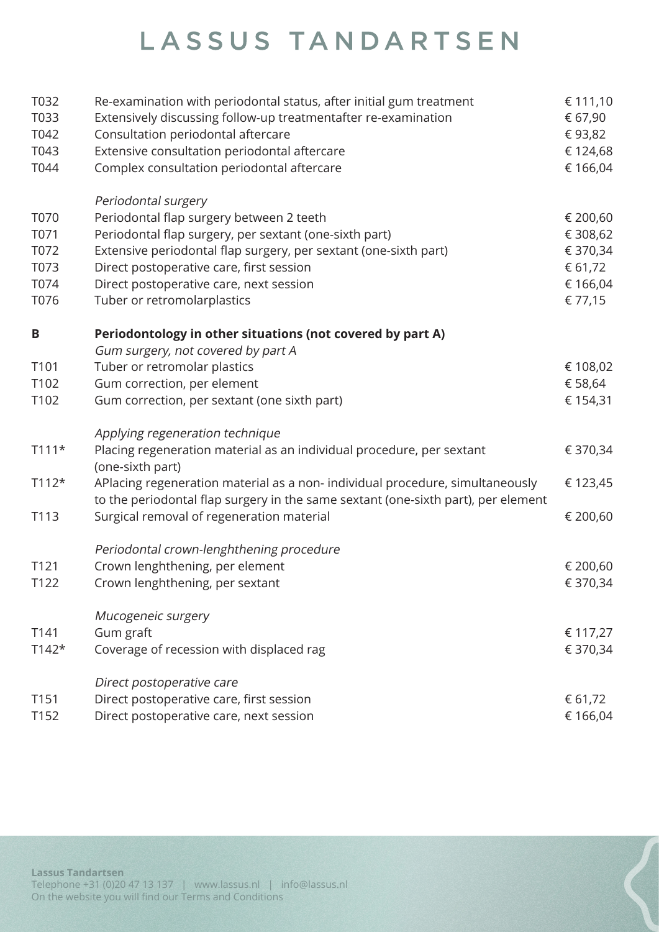| T032             | Re-examination with periodontal status, after initial gum treatment               | € 111,10 |
|------------------|-----------------------------------------------------------------------------------|----------|
| T033             | Extensively discussing follow-up treatmentafter re-examination                    | € 67,90  |
| T042             | Consultation periodontal aftercare                                                | €93,82   |
| T043             | Extensive consultation periodontal aftercare                                      | € 124,68 |
| T044             | Complex consultation periodontal aftercare                                        | € 166,04 |
|                  | Periodontal surgery                                                               |          |
| T070             | Periodontal flap surgery between 2 teeth                                          | € 200,60 |
| T071             | Periodontal flap surgery, per sextant (one-sixth part)                            | € 308,62 |
| T072             | Extensive periodontal flap surgery, per sextant (one-sixth part)                  | € 370,34 |
| T073             | Direct postoperative care, first session                                          | € 61,72  |
| T074             | Direct postoperative care, next session                                           | € 166,04 |
| T076             | Tuber or retromolarplastics                                                       | € 77,15  |
| B                | Periodontology in other situations (not covered by part A)                        |          |
|                  | Gum surgery, not covered by part A                                                |          |
| T101             | Tuber or retromolar plastics                                                      | € 108,02 |
| T102             | Gum correction, per element                                                       | € 58,64  |
| T102             | Gum correction, per sextant (one sixth part)                                      | € 154,31 |
|                  | Applying regeneration technique                                                   |          |
| $T111*$          | Placing regeneration material as an individual procedure, per sextant             | € 370,34 |
|                  | (one-sixth part)                                                                  |          |
| $T112*$          | APlacing regeneration material as a non-individual procedure, simultaneously      | € 123,45 |
|                  | to the periodontal flap surgery in the same sextant (one-sixth part), per element |          |
| T113             | Surgical removal of regeneration material                                         | € 200,60 |
|                  | Periodontal crown-lenghthening procedure                                          |          |
| T <sub>121</sub> | Crown lenghthening, per element                                                   | € 200,60 |
| T122             | Crown lenghthening, per sextant                                                   | € 370,34 |
|                  | Mucogeneic surgery                                                                |          |
| T141             | Gum graft                                                                         | € 117,27 |
| $T142*$          | Coverage of recession with displaced rag                                          | € 370,34 |
|                  | Direct postoperative care                                                         |          |
| T151             | Direct postoperative care, first session                                          | € 61,72  |
| T152             | Direct postoperative care, next session                                           | € 166,04 |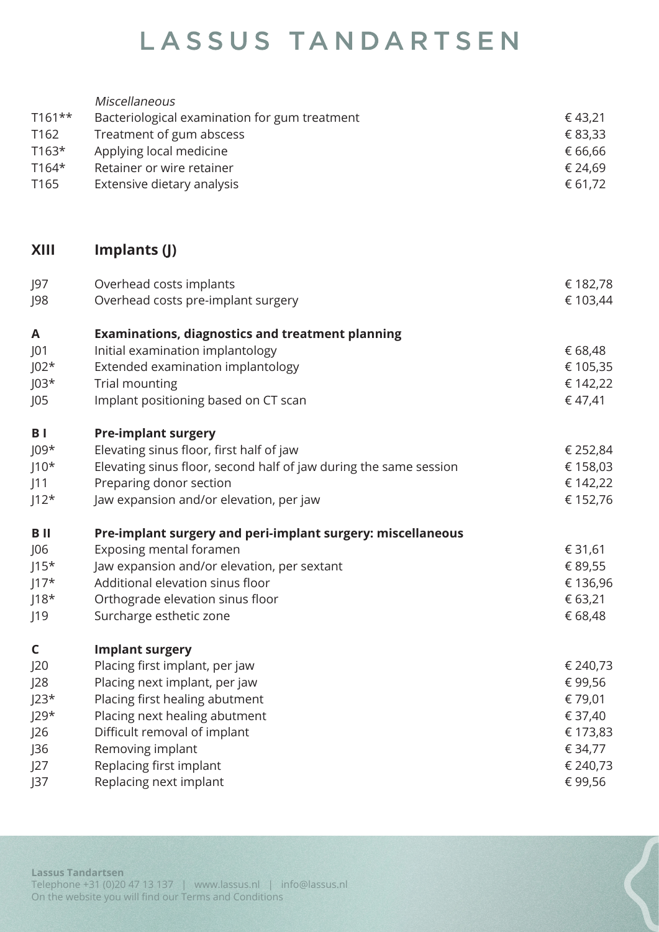| $T161**$<br>T162<br>$T163*$<br>T164*<br>T165 | Miscellaneous<br>Bacteriological examination for gum treatment<br>Treatment of gum abscess<br>Applying local medicine<br>Retainer or wire retainer<br>Extensive dietary analysis | €43,21<br>€ 83,33<br>€ 66,66<br>€ 24,69<br>€ 61,72 |
|----------------------------------------------|----------------------------------------------------------------------------------------------------------------------------------------------------------------------------------|----------------------------------------------------|
| <b>XIII</b>                                  | Implants (J)                                                                                                                                                                     |                                                    |
| J97<br>J98                                   | Overhead costs implants<br>Overhead costs pre-implant surgery                                                                                                                    | € 182,78<br>€ 103,44                               |
| A                                            | <b>Examinations, diagnostics and treatment planning</b>                                                                                                                          |                                                    |
| J01                                          | Initial examination implantology                                                                                                                                                 | € 68,48                                            |
| $J02*$                                       | Extended examination implantology                                                                                                                                                | € 105,35                                           |
| $JO3*$                                       | Trial mounting                                                                                                                                                                   | € 142,22                                           |
| J05                                          | Implant positioning based on CT scan                                                                                                                                             | € 47,41                                            |
| B <sub>1</sub>                               | <b>Pre-implant surgery</b>                                                                                                                                                       |                                                    |
| $JO9*$                                       | Elevating sinus floor, first half of jaw                                                                                                                                         | € 252,84                                           |
| $J10*$                                       | Elevating sinus floor, second half of jaw during the same session                                                                                                                | € 158,03                                           |
| J11                                          | Preparing donor section                                                                                                                                                          | € 142,22                                           |
| $J12*$                                       | Jaw expansion and/or elevation, per jaw                                                                                                                                          | € 152,76                                           |
| B II                                         | Pre-implant surgery and peri-implant surgery: miscellaneous                                                                                                                      |                                                    |
| J06                                          | Exposing mental foramen                                                                                                                                                          | € 31,61                                            |
| $J15*$                                       | Jaw expansion and/or elevation, per sextant                                                                                                                                      | € 89,55                                            |
| $117*$                                       | Additional elevation sinus floor                                                                                                                                                 | € 136,96                                           |
| $118*$                                       | Orthograde elevation sinus floor                                                                                                                                                 | € 63,21                                            |
| J19                                          | Surcharge esthetic zone                                                                                                                                                          | € 68,48                                            |
| $\mathsf{C}$                                 | <b>Implant surgery</b>                                                                                                                                                           |                                                    |
| J20                                          | Placing first implant, per jaw                                                                                                                                                   | € 240,73                                           |
| J28                                          | Placing next implant, per jaw                                                                                                                                                    | €99,56                                             |
| $J23*$                                       | Placing first healing abutment                                                                                                                                                   | € 79,01                                            |
| $J29*$                                       | Placing next healing abutment                                                                                                                                                    | € 37,40                                            |
| J26                                          | Difficult removal of implant                                                                                                                                                     | € 173,83                                           |
| J36                                          | Removing implant                                                                                                                                                                 | € 34,77                                            |
| J27                                          | Replacing first implant                                                                                                                                                          | € 240,73                                           |
| J37                                          | Replacing next implant                                                                                                                                                           | €99,56                                             |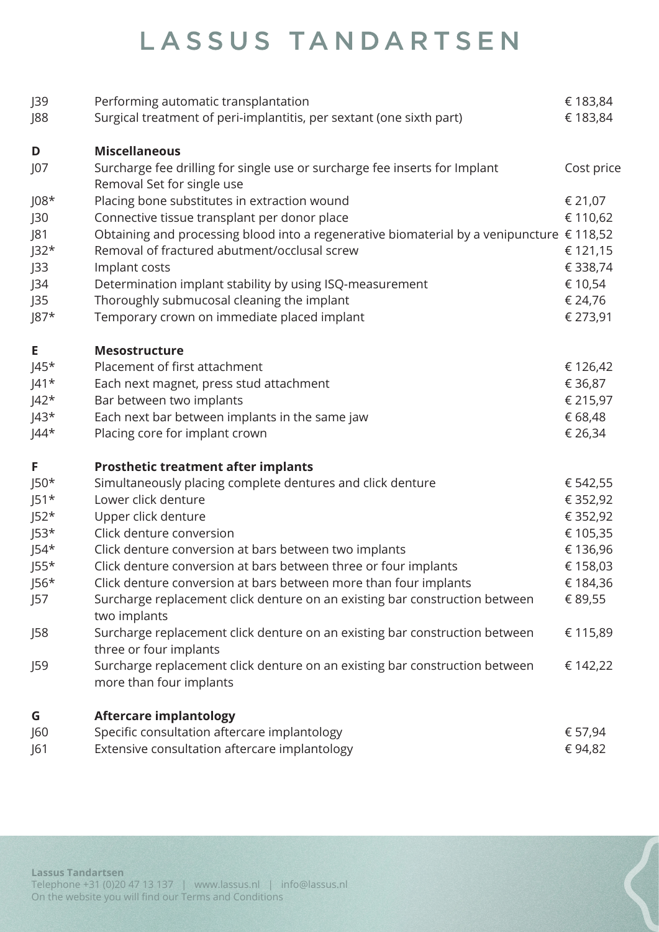| J39                            | Performing automatic transplantation                                                                     | € 183,84          |
|--------------------------------|----------------------------------------------------------------------------------------------------------|-------------------|
| $\overline{\smash{\big)}\,88}$ | Surgical treatment of peri-implantitis, per sextant (one sixth part)                                     | € 183,84          |
| D                              | <b>Miscellaneous</b>                                                                                     |                   |
| J07                            | Surcharge fee drilling for single use or surcharge fee inserts for Implant<br>Removal Set for single use | Cost price        |
| $J08*$                         | Placing bone substitutes in extraction wound                                                             | € 21,07           |
| J30                            | Connective tissue transplant per donor place                                                             | € 110,62          |
| J81                            | Obtaining and processing blood into a regenerative biomaterial by a venipuncture $\epsilon$ 118,52       |                   |
| $J32*$                         | Removal of fractured abutment/occlusal screw                                                             | € 121,15          |
| J33                            | Implant costs                                                                                            | € 338,74          |
| J34                            | Determination implant stability by using ISQ-measurement                                                 | € 10,54           |
| J35                            | Thoroughly submucosal cleaning the implant                                                               | € 24,76           |
| $J87*$                         | Temporary crown on immediate placed implant                                                              | € 273,91          |
| Е                              | <b>Mesostructure</b>                                                                                     |                   |
| $ 45*$                         | Placement of first attachment                                                                            | € 126,42          |
| $J41*$                         | Each next magnet, press stud attachment                                                                  | € 36,87           |
| $J42*$                         | Bar between two implants                                                                                 | € 215,97          |
| $J43*$                         | Each next bar between implants in the same jaw                                                           | € 68,48           |
| $ 44*$                         | Placing core for implant crown                                                                           | € 26,34           |
| F                              | <b>Prosthetic treatment after implants</b>                                                               |                   |
| $J50*$                         | Simultaneously placing complete dentures and click denture                                               | € 542,55          |
| $J51*$                         | Lower click denture                                                                                      | € 352,92          |
| $J52*$                         | Upper click denture                                                                                      | € 352,92          |
| $J53*$                         | Click denture conversion                                                                                 | € 105,35          |
| $J54*$                         | Click denture conversion at bars between two implants                                                    | € 136,96          |
| $J55*$                         | Click denture conversion at bars between three or four implants                                          | € 158,03          |
| $J56*$                         | Click denture conversion at bars between more than four implants                                         | € 184,36          |
| J57                            | Surcharge replacement click denture on an existing bar construction between<br>two implants              | € 89,55           |
| J58                            | Surcharge replacement click denture on an existing bar construction between<br>three or four implants    | € 115,89          |
| J59                            | Surcharge replacement click denture on an existing bar construction between<br>more than four implants   | € 142,22          |
|                                |                                                                                                          |                   |
| G                              | <b>Aftercare implantology</b>                                                                            |                   |
| J60<br>J61                     | Specific consultation aftercare implantology<br>Extensive consultation aftercare implantology            | € 57,94<br>€94,82 |
|                                |                                                                                                          |                   |